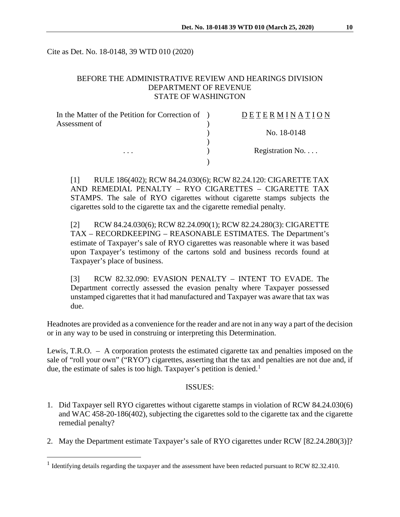Cite as Det. No. 18-0148, 39 WTD 010 (2020)

# BEFORE THE ADMINISTRATIVE REVIEW AND HEARINGS DIVISION DEPARTMENT OF REVENUE STATE OF WASHINGTON

| In the Matter of the Petition for Correction of ) | DETERMINATION   |
|---------------------------------------------------|-----------------|
| Assessment of<br>$\cdot$                          |                 |
|                                                   | No. 18-0148     |
|                                                   |                 |
|                                                   | Registration No |
|                                                   |                 |

[1] RULE 186(402); RCW 84.24.030(6); RCW 82.24.120: CIGARETTE TAX AND REMEDIAL PENALTY – RYO CIGARETTES – CIGARETTE TAX STAMPS. The sale of RYO cigarettes without cigarette stamps subjects the cigarettes sold to the cigarette tax and the cigarette remedial penalty.

[2] RCW 84.24.030(6); RCW 82.24.090(1); RCW 82.24.280(3): CIGARETTE TAX – RECORDKEEPING – REASONABLE ESTIMATES. The Department's estimate of Taxpayer's sale of RYO cigarettes was reasonable where it was based upon Taxpayer's testimony of the cartons sold and business records found at Taxpayer's place of business.

[3] RCW 82.32.090: EVASION PENALTY – INTENT TO EVADE. The Department correctly assessed the evasion penalty where Taxpayer possessed unstamped cigarettes that it had manufactured and Taxpayer was aware that tax was due.

Headnotes are provided as a convenience for the reader and are not in any way a part of the decision or in any way to be used in construing or interpreting this Determination.

Lewis, T.R.O. – A corporation protests the estimated cigarette tax and penalties imposed on the sale of "roll your own" ("RYO") cigarettes, asserting that the tax and penalties are not due and, if due, the estimate of sales is too high. Taxpayer's petition is denied.<sup>[1](#page-0-0)</sup>

#### ISSUES:

- 1. Did Taxpayer sell RYO cigarettes without cigarette stamps in violation of RCW 84.24.030(6) and WAC 458-20-186(402), subjecting the cigarettes sold to the cigarette tax and the cigarette remedial penalty?
- 2. May the Department estimate Taxpayer's sale of RYO cigarettes under RCW [82.24.280(3)]?

<span id="page-0-0"></span><sup>&</sup>lt;sup>1</sup> Identifying details regarding the taxpayer and the assessment have been redacted pursuant to RCW 82.32.410.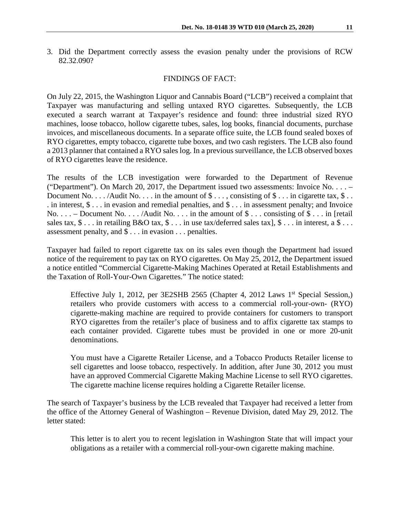3. Did the Department correctly assess the evasion penalty under the provisions of RCW 82.32.090?

### FINDINGS OF FACT:

On July 22, 2015, the Washington Liquor and Cannabis Board ("LCB") received a complaint that Taxpayer was manufacturing and selling untaxed RYO cigarettes. Subsequently, the LCB executed a search warrant at Taxpayer's residence and found: three industrial sized RYO machines, loose tobacco, hollow cigarette tubes, sales, log books, financial documents, purchase invoices, and miscellaneous documents. In a separate office suite, the LCB found sealed boxes of RYO cigarettes, empty tobacco, cigarette tube boxes, and two cash registers. The LCB also found a 2013 planner that contained a RYO sales log. In a previous surveillance, the LCB observed boxes of RYO cigarettes leave the residence.

The results of the LCB investigation were forwarded to the Department of Revenue ("Department"). On March 20, 2017, the Department issued two assessments: Invoice No. . . . – Document No.  $\dots$  /Audit No.  $\dots$  in the amount of \$ $\dots$ , consisting of \$ $\dots$  in cigarette tax, \$ $\dots$ . in interest,  $\$\dots$  in evasion and remedial penalties, and  $\$\dots$  in assessment penalty; and Invoice No.  $\ldots$  – Document No.  $\ldots$  /Audit No.  $\ldots$  in the amount of \$... consisting of \$... in [retail] sales tax,  $\$ \dots$  in retailing B&O tax,  $\$ \dots$  in use tax/deferred sales tax],  $\$ \dots$  in interest, a  $\$ \dots$ assessment penalty, and \$ . . . in evasion . . . penalties.

Taxpayer had failed to report cigarette tax on its sales even though the Department had issued notice of the requirement to pay tax on RYO cigarettes. On May 25, 2012, the Department issued a notice entitled "Commercial Cigarette-Making Machines Operated at Retail Establishments and the Taxation of Roll-Your-Own Cigarettes." The notice stated:

Effective July 1, 2012, per 3E2SHB 2565 (Chapter 4, 2012 Laws  $1<sup>st</sup>$  Special Session,) retailers who provide customers with access to a commercial roll-your-own- (RYO) cigarette-making machine are required to provide containers for customers to transport RYO cigarettes from the retailer's place of business and to affix cigarette tax stamps to each container provided. Cigarette tubes must be provided in one or more 20-unit denominations.

You must have a Cigarette Retailer License, and a Tobacco Products Retailer license to sell cigarettes and loose tobacco, respectively. In addition, after June 30, 2012 you must have an approved Commercial Cigarette Making Machine License to sell RYO cigarettes. The cigarette machine license requires holding a Cigarette Retailer license.

The search of Taxpayer's business by the LCB revealed that Taxpayer had received a letter from the office of the Attorney General of Washington – Revenue Division, dated May 29, 2012. The letter stated:

This letter is to alert you to recent legislation in Washington State that will impact your obligations as a retailer with a commercial roll-your-own cigarette making machine.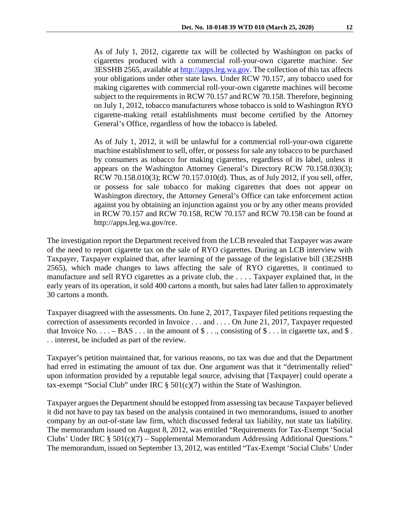As of July 1, 2012, cigarette tax will be collected by Washington on packs of cigarettes produced with a commercial roll-your-own cigarette machine. *See* 3ESSHB 2565, available at [http://apps.leg.wa.gov.](http://apps.leg.wa.gov/) The collection of this tax affects your obligations under other state laws. Under RCW 70.157, any tobacco used for making cigarettes with commercial roll-your-own cigarette machines will become subject to the requirements in RCW 70.157 and RCW 70.158. Therefore, beginning on July 1, 2012, tobacco manufacturers whose tobacco is sold to Washington RYO cigarette-making retail establishments must become certified by the Attorney General's Office, regardless of how the tobacco is labeled.

As of July 1, 2012, it will be unlawful for a commercial roll-your-own cigarette machine establishment to sell, offer, or possess for sale any tobacco to be purchased by consumers as tobacco for making cigarettes, regardless of its label, unless it appears on the Washington Attorney General's Directory RCW 70.158.030(3); RCW 70.158.010(3); RCW 70.157.010(d). Thus, as of July 2012, if you sell, offer, or possess for sale tobacco for making cigarettes that does not appear on Washington directory, the Attorney General's Office can take enforcement action against you by obtaining an injunction against you or by any other means provided in RCW 70.157 and RCW 70.158, RCW 70.157 and RCW 70.158 can be found at http://apps.leg.wa.gov/rce.

The investigation report the Department received from the LCB revealed that Taxpayer was aware of the need to report cigarette tax on the sale of RYO cigarettes. During an LCB interview with Taxpayer, Taxpayer explained that, after learning of the passage of the legislative bill (3E2SHB 2565), which made changes to laws affecting the sale of RYO cigarettes, it continued to manufacture and sell RYO cigarettes as a private club, the . . . . Taxpayer explained that, in the early years of its operation, it sold 400 cartons a month, but sales had later fallen to approximately 30 cartons a month.

Taxpayer disagreed with the assessments. On June 2, 2017, Taxpayer filed petitions requesting the correction of assessments recorded in Invoice . . . and . . . . On June 21, 2017, Taxpayer requested that Invoice No.  $\dots$  – BAS  $\dots$  in the amount of \$ . . ., consisting of \$ . . . in cigarette tax, and \$. . . interest, be included as part of the review.

Taxpayer's petition maintained that, for various reasons, no tax was due and that the Department had erred in estimating the amount of tax due. One argument was that it "detrimentally relied" upon information provided by a reputable legal source, advising that [Taxpayer] could operate a tax-exempt "Social Club" under IRC  $\S$  501(c)(7) within the State of Washington.

Taxpayer argues the Department should be estopped from assessing tax because Taxpayer believed it did not have to pay tax based on the analysis contained in two memorandums, issued to another company by an out-of-state law firm, which discussed federal tax liability, not state tax liability. The memorandum issued on August 8, 2012, was entitled "Requirements for Tax-Exempt 'Social Clubs' Under IRC  $\S$  501(c)(7) – Supplemental Memorandum Addressing Additional Questions." The memorandum, issued on September 13, 2012, was entitled "Tax-Exempt 'Social Clubs' Under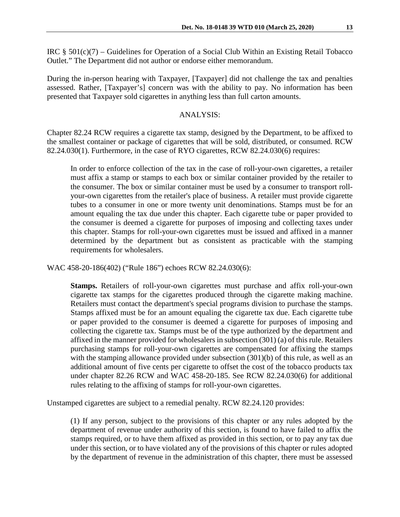IRC  $\S$  501(c)(7) – Guidelines for Operation of a Social Club Within an Existing Retail Tobacco Outlet." The Department did not author or endorse either memorandum.

During the in-person hearing with Taxpayer, [Taxpayer] did not challenge the tax and penalties assessed. Rather, [Taxpayer's] concern was with the ability to pay. No information has been presented that Taxpayer sold cigarettes in anything less than full carton amounts.

### ANALYSIS:

Chapter 82.24 RCW requires a cigarette tax stamp, designed by the Department, to be affixed to the smallest container or package of cigarettes that will be sold, distributed, or consumed. RCW 82.24.030(1). Furthermore, in the case of RYO cigarettes, RCW 82.24.030(6) requires:

In order to enforce collection of the tax in the case of roll-your-own cigarettes, a retailer must affix a stamp or stamps to each box or similar container provided by the retailer to the consumer. The box or similar container must be used by a consumer to transport rollyour-own cigarettes from the retailer's place of business. A retailer must provide cigarette tubes to a consumer in one or more twenty unit denominations. Stamps must be for an amount equaling the tax due under this chapter. Each cigarette tube or paper provided to the consumer is deemed a cigarette for purposes of imposing and collecting taxes under this chapter. Stamps for roll-your-own cigarettes must be issued and affixed in a manner determined by the department but as consistent as practicable with the stamping requirements for wholesalers.

WAC 458-20-186(402) ("Rule 186") echoes RCW 82.24.030(6):

**Stamps.** Retailers of roll-your-own cigarettes must purchase and affix roll-your-own cigarette tax stamps for the cigarettes produced through the cigarette making machine. Retailers must contact the department's special programs division to purchase the stamps. Stamps affixed must be for an amount equaling the cigarette tax due. Each cigarette tube or paper provided to the consumer is deemed a cigarette for purposes of imposing and collecting the cigarette tax. Stamps must be of the type authorized by the department and affixed in the manner provided for wholesalers in subsection (301) (a) of this rule. Retailers purchasing stamps for roll-your-own cigarettes are compensated for affixing the stamps with the stamping allowance provided under subsection (301)(b) of this rule, as well as an additional amount of five cents per cigarette to offset the cost of the tobacco products tax under chapter 82.26 RCW and WAC 458-20-185. See RCW 82.24.030(6) for additional rules relating to the affixing of stamps for roll-your-own cigarettes.

Unstamped cigarettes are subject to a remedial penalty. RCW 82.24.120 provides:

(1) If any person, subject to the provisions of this chapter or any rules adopted by the department of revenue under authority of this section, is found to have failed to affix the stamps required, or to have them affixed as provided in this section, or to pay any tax due under this section, or to have violated any of the provisions of this chapter or rules adopted by the department of revenue in the administration of this chapter, there must be assessed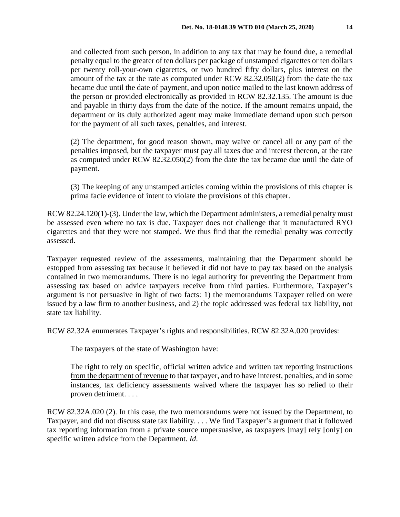and collected from such person, in addition to any tax that may be found due, a remedial penalty equal to the greater of ten dollars per package of unstamped cigarettes or ten dollars per twenty roll-your-own cigarettes, or two hundred fifty dollars, plus interest on the amount of the tax at the rate as computed under RCW 82.32.050(2) from the date the tax became due until the date of payment, and upon notice mailed to the last known address of the person or provided electronically as provided in RCW 82.32.135. The amount is due and payable in thirty days from the date of the notice. If the amount remains unpaid, the department or its duly authorized agent may make immediate demand upon such person for the payment of all such taxes, penalties, and interest.

(2) The department, for good reason shown, may waive or cancel all or any part of the penalties imposed, but the taxpayer must pay all taxes due and interest thereon, at the rate as computed under RCW 82.32.050(2) from the date the tax became due until the date of payment.

(3) The keeping of any unstamped articles coming within the provisions of this chapter is prima facie evidence of intent to violate the provisions of this chapter.

RCW 82.24.120(1)-(3). Under the law, which the Department administers, a remedial penalty must be assessed even where no tax is due. Taxpayer does not challenge that it manufactured RYO cigarettes and that they were not stamped. We thus find that the remedial penalty was correctly assessed.

Taxpayer requested review of the assessments, maintaining that the Department should be estopped from assessing tax because it believed it did not have to pay tax based on the analysis contained in two memorandums. There is no legal authority for preventing the Department from assessing tax based on advice taxpayers receive from third parties. Furthermore, Taxpayer's argument is not persuasive in light of two facts: 1) the memorandums Taxpayer relied on were issued by a law firm to another business, and 2) the topic addressed was federal tax liability, not state tax liability.

RCW 82.32A enumerates Taxpayer's rights and responsibilities. RCW 82.32A.020 provides:

The taxpayers of the state of Washington have:

The right to rely on specific, official written advice and written tax reporting instructions from the department of revenue to that taxpayer, and to have interest, penalties, and in some instances, tax deficiency assessments waived where the taxpayer has so relied to their proven detriment. . . .

RCW 82.32A.020 (2). In this case, the two memorandums were not issued by the Department, to Taxpayer, and did not discuss state tax liability. . . . We find Taxpayer's argument that it followed tax reporting information from a private source unpersuasive, as taxpayers [may] rely [only] on specific written advice from the Department. *Id*.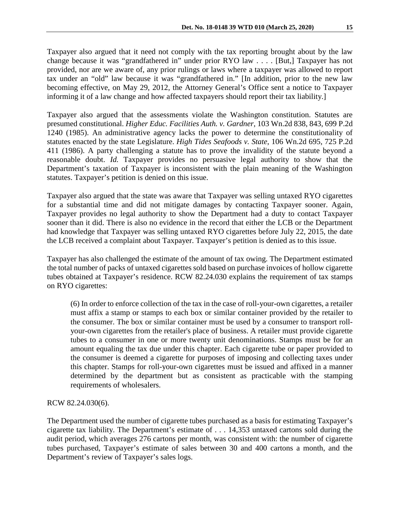Taxpayer also argued that it need not comply with the tax reporting brought about by the law change because it was "grandfathered in" under prior RYO law . . . . [But,] Taxpayer has not provided, nor are we aware of, any prior rulings or laws where a taxpayer was allowed to report tax under an "old" law because it was "grandfathered in." [In addition, prior to the new law becoming effective, on May 29, 2012, the Attorney General's Office sent a notice to Taxpayer informing it of a law change and how affected taxpayers should report their tax liability.]

Taxpayer also argued that the assessments violate the Washington constitution. Statutes are presumed constitutional. *Higher Educ. Facilities Auth. v. Gardner*, 103 Wn.2d 838, 843, 699 P.2d 1240 (1985). An administrative agency lacks the power to determine the constitutionality of statutes enacted by the state Legislature. *High Tides Seafoods v. State*, 106 Wn.2d 695, 725 P.2d 411 (1986). A party challenging a statute has to prove the invalidity of the statute beyond a reasonable doubt. *Id.* Taxpayer provides no persuasive legal authority to show that the Department's taxation of Taxpayer is inconsistent with the plain meaning of the Washington statutes. Taxpayer's petition is denied on this issue.

Taxpayer also argued that the state was aware that Taxpayer was selling untaxed RYO cigarettes for a substantial time and did not mitigate damages by contacting Taxpayer sooner. Again, Taxpayer provides no legal authority to show the Department had a duty to contact Taxpayer sooner than it did. There is also no evidence in the record that either the LCB or the Department had knowledge that Taxpayer was selling untaxed RYO cigarettes before July 22, 2015, the date the LCB received a complaint about Taxpayer. Taxpayer's petition is denied as to this issue.

Taxpayer has also challenged the estimate of the amount of tax owing. The Department estimated the total number of packs of untaxed cigarettes sold based on purchase invoices of hollow cigarette tubes obtained at Taxpayer's residence. RCW 82.24.030 explains the requirement of tax stamps on RYO cigarettes:

(6) In order to enforce collection of the tax in the case of roll-your-own cigarettes, a retailer must affix a stamp or stamps to each box or similar container provided by the retailer to the consumer. The box or similar container must be used by a consumer to transport rollyour-own cigarettes from the retailer's place of business. A retailer must provide cigarette tubes to a consumer in one or more twenty unit denominations. Stamps must be for an amount equaling the tax due under this chapter. Each cigarette tube or paper provided to the consumer is deemed a cigarette for purposes of imposing and collecting taxes under this chapter. Stamps for roll-your-own cigarettes must be issued and affixed in a manner determined by the department but as consistent as practicable with the stamping requirements of wholesalers.

RCW 82.24.030(6).

The Department used the number of cigarette tubes purchased as a basis for estimating Taxpayer's cigarette tax liability. The Department's estimate of . . . 14,353 untaxed cartons sold during the audit period, which averages 276 cartons per month, was consistent with: the number of cigarette tubes purchased, Taxpayer's estimate of sales between 30 and 400 cartons a month, and the Department's review of Taxpayer's sales logs.